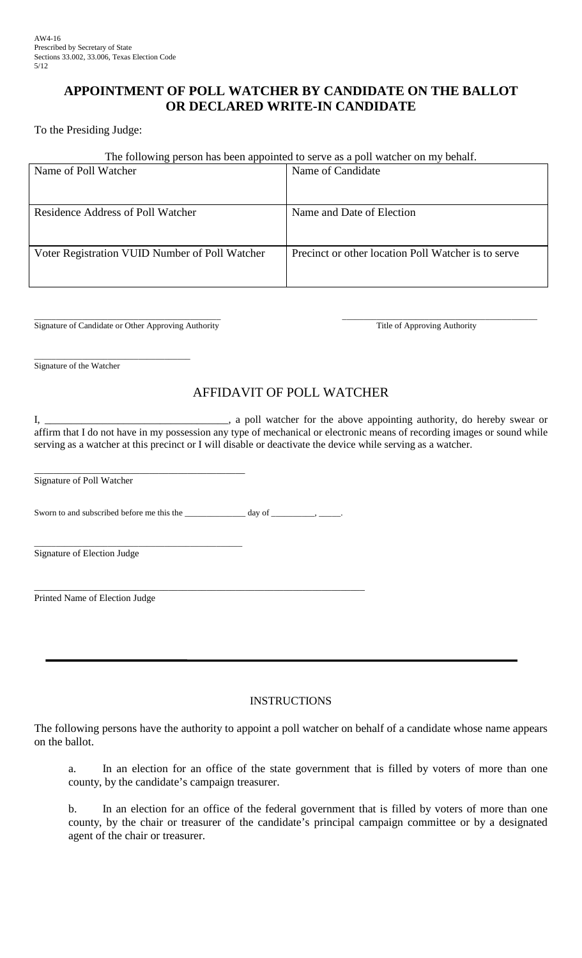## **APPOINTMENT OF POLL WATCHER BY CANDIDATE ON THE BALLOT OR DECLARED WRITE-IN CANDIDATE**

To the Presiding Judge:

## The following person has been appointed to serve as a poll watcher on my behalf.

| Name of Poll Watcher                           | Name of Candidate                                   |
|------------------------------------------------|-----------------------------------------------------|
| Residence Address of Poll Watcher              | Name and Date of Election                           |
| Voter Registration VUID Number of Poll Watcher | Precinct or other location Poll Watcher is to serve |

\_\_\_\_\_\_\_\_\_\_\_\_\_\_\_\_\_\_\_\_\_\_\_\_\_\_\_\_\_\_\_\_\_\_\_\_\_\_\_\_\_\_\_ Signature of Candidate or Other Approving Authority

\_\_\_\_\_\_\_\_\_\_\_\_\_\_\_\_\_\_\_\_\_\_\_\_\_\_\_\_\_\_\_\_\_\_\_\_\_\_\_\_\_\_\_\_\_ Title of Approving Authority

\_\_\_\_\_\_\_\_\_\_\_\_\_\_\_\_\_\_\_\_\_\_\_\_\_\_\_\_\_\_\_\_\_\_\_\_ Signature of the Watcher

# AFFIDAVIT OF POLL WATCHER

I, \_\_\_\_\_\_\_\_\_\_\_\_\_\_\_\_\_\_\_\_\_\_\_\_\_\_\_\_\_\_\_\_\_\_\_, a poll watcher for the above appointing authority, do hereby swear or affirm that I do not have in my possession any type of mechanical or electronic means of recording images or sound while serving as a watcher at this precinct or I will disable or deactivate the device while serving as a watcher.

\_\_\_\_\_\_\_\_\_\_\_\_\_\_\_\_\_\_\_\_\_\_\_\_\_\_\_\_\_\_\_\_\_\_\_\_\_\_\_\_\_\_\_\_ Signature of Poll Watcher

Sworn to and subscribed before me this the \_\_\_\_\_\_\_\_\_\_\_\_\_ day of \_\_\_\_\_\_\_\_, \_\_\_

\_\_\_\_\_\_\_\_\_\_\_\_\_\_\_\_\_\_\_\_\_\_\_\_\_\_\_\_\_\_\_\_\_\_\_\_\_\_\_\_\_\_\_\_\_\_\_\_ Signature of Election Judge

\_\_\_\_\_\_\_\_\_\_\_\_\_\_\_\_\_\_\_\_\_\_\_\_\_\_\_\_\_\_\_\_\_\_\_\_\_\_\_\_\_\_\_\_\_\_\_\_\_\_\_\_\_\_\_\_\_\_\_\_\_\_\_\_\_\_\_\_\_ Printed Name of Election Judge

## **INSTRUCTIONS**

The following persons have the authority to appoint a poll watcher on behalf of a candidate whose name appears on the ballot.

a. In an election for an office of the state government that is filled by voters of more than one county, by the candidate's campaign treasurer.

 b. In an election for an office of the federal government that is filled by voters of more than one county, by the chair or treasurer of the candidate's principal campaign committee or by a designated agent of the chair or treasurer.